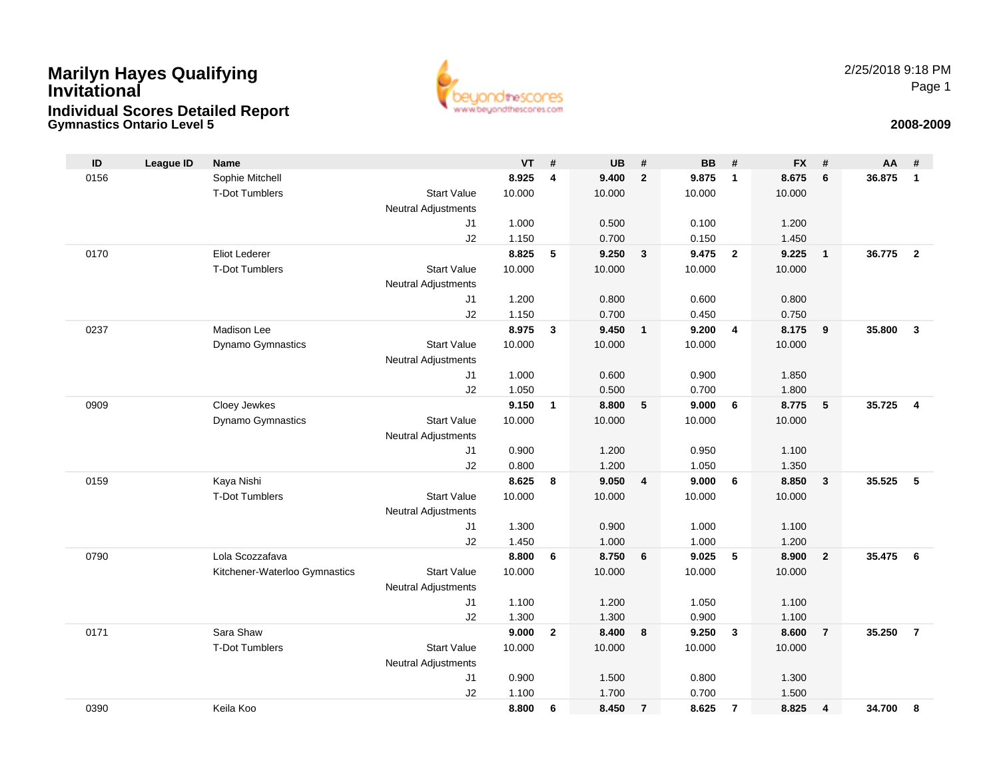### **Gymnastics Ontario Level 5 2008-2009 Marilyn Hayes Qualifying InvitationalIndividual Scores Detailed Report**



2/25/2018 9:18 PMPage 1

| ID   | <b>League ID</b> | <b>Name</b>                   |                     | <b>VT</b>      | #              | <b>UB</b>      | #              | <b>BB</b>      | #              | <b>FX</b>      | #               | AA     | #                       |
|------|------------------|-------------------------------|---------------------|----------------|----------------|----------------|----------------|----------------|----------------|----------------|-----------------|--------|-------------------------|
| 0156 |                  | Sophie Mitchell               |                     | 8.925          | $\overline{4}$ | 9.400          | $\overline{2}$ | 9.875          | $\mathbf{1}$   | 8.675          | 6               | 36.875 | $\mathbf{1}$            |
|      |                  | <b>T-Dot Tumblers</b>         | <b>Start Value</b>  | 10.000         |                | 10.000         |                | 10.000         |                | 10.000         |                 |        |                         |
|      |                  |                               | Neutral Adjustments |                |                |                |                |                |                |                |                 |        |                         |
|      |                  |                               | J1                  | 1.000          |                | 0.500          |                | 0.100          |                | 1.200          |                 |        |                         |
|      |                  |                               | J2                  | 1.150          |                | 0.700          |                | 0.150          |                | 1.450          |                 |        |                         |
| 0170 |                  | <b>Eliot Lederer</b>          |                     | 8.825          | 5              | 9.250          | $\mathbf{3}$   | 9.475          | $\overline{2}$ | 9.225          | $\overline{1}$  | 36.775 | $\overline{2}$          |
|      |                  | <b>T-Dot Tumblers</b>         | <b>Start Value</b>  | 10.000         |                | 10.000         |                | 10.000         |                | 10.000         |                 |        |                         |
|      |                  |                               | Neutral Adjustments |                |                |                |                |                |                |                |                 |        |                         |
|      |                  |                               | J1                  | 1.200          |                | 0.800          |                | 0.600          |                | 0.800          |                 |        |                         |
|      |                  |                               | J2                  | 1.150          |                | 0.700          |                | 0.450          |                | 0.750          |                 |        |                         |
| 0237 |                  | Madison Lee                   |                     | 8.975          | $\mathbf{3}$   | 9.450          | $\mathbf{1}$   | 9.200          | $\overline{4}$ | 8.175          | 9               | 35,800 | $\overline{\mathbf{3}}$ |
|      |                  | Dynamo Gymnastics             | <b>Start Value</b>  | 10.000         |                | 10.000         |                | 10.000         |                | 10.000         |                 |        |                         |
|      |                  |                               | Neutral Adjustments |                |                |                |                |                |                |                |                 |        |                         |
|      |                  |                               | J1                  | 1.000          |                | 0.600          |                | 0.900          |                | 1.850          |                 |        |                         |
|      |                  |                               | J2                  | 1.050          |                | 0.500          |                | 0.700          |                | 1.800          |                 |        |                         |
| 0909 |                  | Cloey Jewkes                  |                     | 9.150          | $\mathbf{1}$   | 8.800          | 5              | 9.000          | 6              | 8.775          | $5\phantom{.0}$ | 35.725 | $\overline{\mathbf{4}}$ |
|      |                  | Dynamo Gymnastics             | <b>Start Value</b>  | 10.000         |                | 10.000         |                | 10.000         |                | 10.000         |                 |        |                         |
|      |                  |                               | Neutral Adjustments |                |                |                |                |                |                |                |                 |        |                         |
|      |                  |                               | J1                  | 0.900          |                | 1.200          |                | 0.950          |                | 1.100          |                 |        |                         |
| 0159 |                  | Kaya Nishi                    | J2                  | 0.800<br>8.625 | 8              | 1.200<br>9.050 | 4              | 1.050<br>9.000 | 6              | 1.350<br>8.850 | $\mathbf{3}$    | 35.525 | 5                       |
|      |                  | <b>T-Dot Tumblers</b>         | <b>Start Value</b>  | 10.000         |                | 10.000         |                | 10.000         |                | 10.000         |                 |        |                         |
|      |                  |                               | Neutral Adjustments |                |                |                |                |                |                |                |                 |        |                         |
|      |                  |                               | J <sub>1</sub>      | 1.300          |                | 0.900          |                | 1.000          |                | 1.100          |                 |        |                         |
|      |                  |                               | J2                  | 1.450          |                | 1.000          |                | 1.000          |                | 1.200          |                 |        |                         |
| 0790 |                  | Lola Scozzafava               |                     | 8.800          | 6              | 8.750          | 6              | 9.025          | 5              | 8.900          | $\overline{2}$  | 35.475 | 6                       |
|      |                  | Kitchener-Waterloo Gymnastics | <b>Start Value</b>  | 10.000         |                | 10.000         |                | 10.000         |                | 10.000         |                 |        |                         |
|      |                  |                               | Neutral Adjustments |                |                |                |                |                |                |                |                 |        |                         |
|      |                  |                               | J <sub>1</sub>      | 1.100          |                | 1.200          |                | 1.050          |                | 1.100          |                 |        |                         |
|      |                  |                               | J2                  | 1.300          |                | 1.300          |                | 0.900          |                | 1.100          |                 |        |                         |
| 0171 |                  | Sara Shaw                     |                     | 9.000          | $\mathbf{2}$   | 8.400          | 8              | 9.250          | $\mathbf{3}$   | 8.600          | $\overline{7}$  | 35.250 | $\overline{7}$          |
|      |                  | <b>T-Dot Tumblers</b>         | <b>Start Value</b>  | 10.000         |                | 10.000         |                | 10.000         |                | 10.000         |                 |        |                         |
|      |                  |                               | Neutral Adjustments |                |                |                |                |                |                |                |                 |        |                         |
|      |                  |                               | J <sub>1</sub>      | 0.900          |                | 1.500          |                | 0.800          |                | 1.300          |                 |        |                         |
|      |                  |                               | J2                  | 1.100          |                | 1.700          |                | 0.700          |                | 1.500          |                 |        |                         |
| 0390 |                  | Keila Koo                     |                     | 8.800          | 6              | 8.450          | $\overline{7}$ | 8.625          | $\overline{7}$ | 8.825          | 4               | 34.700 | 8                       |
|      |                  |                               |                     |                |                |                |                |                |                |                |                 |        |                         |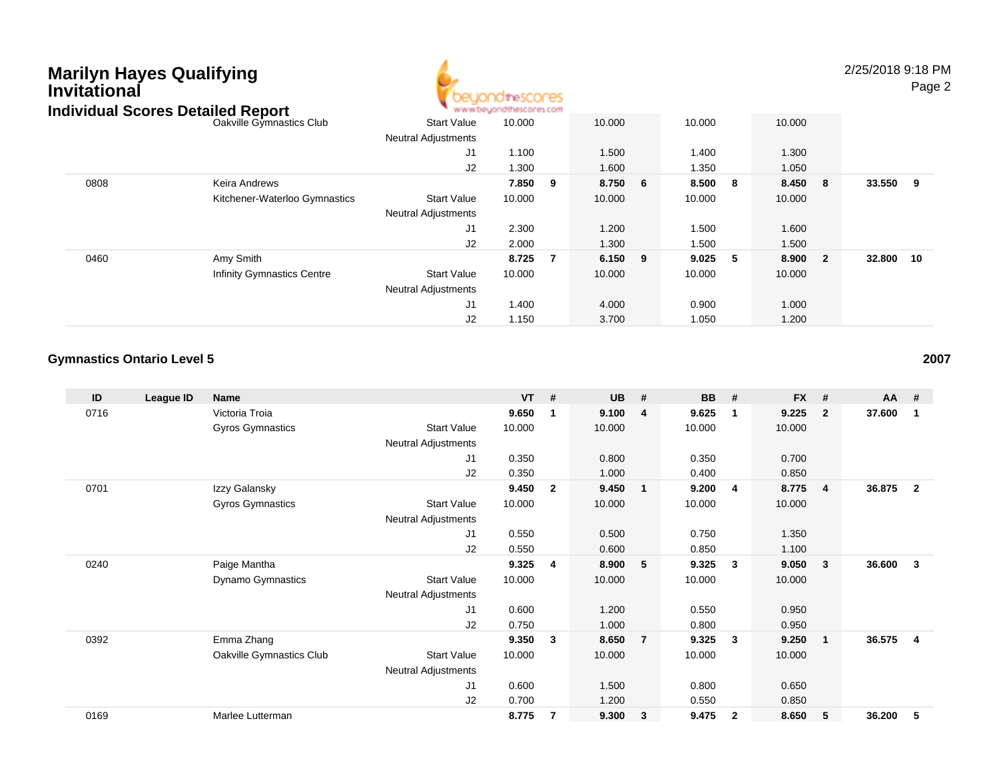## **Marilyn Hayes Qualifying InvitationalIndividual Scores Detailed Report**



2/25/2018 9:18 PM

Page 2

| idividual Scores Detailed Report |                                   |                            | ALLALAM ANTONION POST WEST WEST FOR ALL POWER |   |           |                  |           |         |                         |           |  |
|----------------------------------|-----------------------------------|----------------------------|-----------------------------------------------|---|-----------|------------------|-----------|---------|-------------------------|-----------|--|
|                                  | Oakville Gymnastics Club          | <b>Start Value</b>         | 10.000                                        |   | 10.000    |                  | 10.000    | 10.000  |                         |           |  |
|                                  |                                   | <b>Neutral Adjustments</b> |                                               |   |           |                  |           |         |                         |           |  |
|                                  |                                   | J1                         | 1.100                                         |   | 1.500     |                  | 1.400     | 1.300   |                         |           |  |
|                                  |                                   | J2                         | 1.300                                         |   | 1.600     |                  | 1.350     | 1.050   |                         |           |  |
| 0808                             | Keira Andrews                     |                            | 7.850                                         | 9 | 8.750     | $6\phantom{.0}6$ | 8.500 8   | 8.450 8 |                         | 33.550 9  |  |
|                                  | Kitchener-Waterloo Gymnastics     | <b>Start Value</b>         | 10.000                                        |   | 10.000    |                  | 10.000    | 10.000  |                         |           |  |
|                                  |                                   | <b>Neutral Adjustments</b> |                                               |   |           |                  |           |         |                         |           |  |
|                                  |                                   | J <sub>1</sub>             | 2.300                                         |   | 1.200     |                  | 1.500     | 1.600   |                         |           |  |
|                                  |                                   | J2                         | 2.000                                         |   | 1.300     |                  | 1.500     | 1.500   |                         |           |  |
| 0460                             | Amy Smith                         |                            | 8.725                                         | 7 | $6.150$ 9 |                  | $9.025$ 5 | 8.900   | $\overline{\mathbf{2}}$ | 32.800 10 |  |
|                                  | <b>Infinity Gymnastics Centre</b> | <b>Start Value</b>         | 10.000                                        |   | 10.000    |                  | 10.000    | 10.000  |                         |           |  |
|                                  |                                   | <b>Neutral Adjustments</b> |                                               |   |           |                  |           |         |                         |           |  |
|                                  |                                   | J1                         | 1.400                                         |   | 4.000     |                  | 0.900     | 1.000   |                         |           |  |
|                                  |                                   | J2                         | 1.150                                         |   | 3.700     |                  | 1.050     | 1.200   |                         |           |  |

### **Gymnastics Ontario Level 5**

| ID   | League ID | Name                     |                            | $VT$ # |                | <b>UB</b> | #              | <b>BB</b> | #                       | <b>FX</b> | #                       | AA #   |                |
|------|-----------|--------------------------|----------------------------|--------|----------------|-----------|----------------|-----------|-------------------------|-----------|-------------------------|--------|----------------|
| 0716 |           | Victoria Troia           |                            | 9.650  | 1              | 9.100     | $\overline{4}$ | 9.625     | $\overline{\mathbf{1}}$ | 9.225     | $\overline{2}$          | 37.600 | -1             |
|      |           | Gyros Gymnastics         | <b>Start Value</b>         | 10.000 |                | 10.000    |                | 10.000    |                         | 10.000    |                         |        |                |
|      |           |                          | <b>Neutral Adjustments</b> |        |                |           |                |           |                         |           |                         |        |                |
|      |           |                          | J <sub>1</sub>             | 0.350  |                | 0.800     |                | 0.350     |                         | 0.700     |                         |        |                |
|      |           |                          | J2                         | 0.350  |                | 1.000     |                | 0.400     |                         | 0.850     |                         |        |                |
| 0701 |           | Izzy Galansky            |                            | 9.450  | $\overline{2}$ | 9.450     | $\mathbf{1}$   | 9.200     | 4                       | 8.775     | -4                      | 36.875 | $\overline{2}$ |
|      |           | Gyros Gymnastics         | <b>Start Value</b>         | 10.000 |                | 10.000    |                | 10.000    |                         | 10.000    |                         |        |                |
|      |           |                          | Neutral Adjustments        |        |                |           |                |           |                         |           |                         |        |                |
|      |           |                          | J <sub>1</sub>             | 0.550  |                | 0.500     |                | 0.750     |                         | 1.350     |                         |        |                |
|      |           |                          | J2                         | 0.550  |                | 0.600     |                | 0.850     |                         | 1.100     |                         |        |                |
| 0240 |           | Paige Mantha             |                            | 9.325  | 4              | 8.900     | 5              | 9.325     | 3                       | 9.050     | 3                       | 36.600 | 3              |
|      |           | <b>Dynamo Gymnastics</b> | <b>Start Value</b>         | 10.000 |                | 10.000    |                | 10.000    |                         | 10.000    |                         |        |                |
|      |           |                          | Neutral Adjustments        |        |                |           |                |           |                         |           |                         |        |                |
|      |           |                          | J1                         | 0.600  |                | 1.200     |                | 0.550     |                         | 0.950     |                         |        |                |
|      |           |                          | J <sub>2</sub>             | 0.750  |                | 1.000     |                | 0.800     |                         | 0.950     |                         |        |                |
| 0392 |           | Emma Zhang               |                            | 9.350  | 3              | 8.650     | $\overline{7}$ | 9.325     | 3                       | 9.250     | $\overline{\mathbf{1}}$ | 36.575 | $\overline{4}$ |
|      |           | Oakville Gymnastics Club | <b>Start Value</b>         | 10.000 |                | 10.000    |                | 10.000    |                         | 10.000    |                         |        |                |
|      |           |                          | <b>Neutral Adjustments</b> |        |                |           |                |           |                         |           |                         |        |                |
|      |           |                          | J1                         | 0.600  |                | 1.500     |                | 0.800     |                         | 0.650     |                         |        |                |
|      |           |                          | J <sub>2</sub>             | 0.700  |                | 1.200     |                | 0.550     |                         | 0.850     |                         |        |                |
| 0169 |           | Marlee Lutterman         |                            | 8.775  | $\overline{7}$ | 9.300     | $\mathbf{3}$   | 9.475     | $\overline{2}$          | 8.650     | 5                       | 36.200 | 5              |

**<sup>2007</sup>**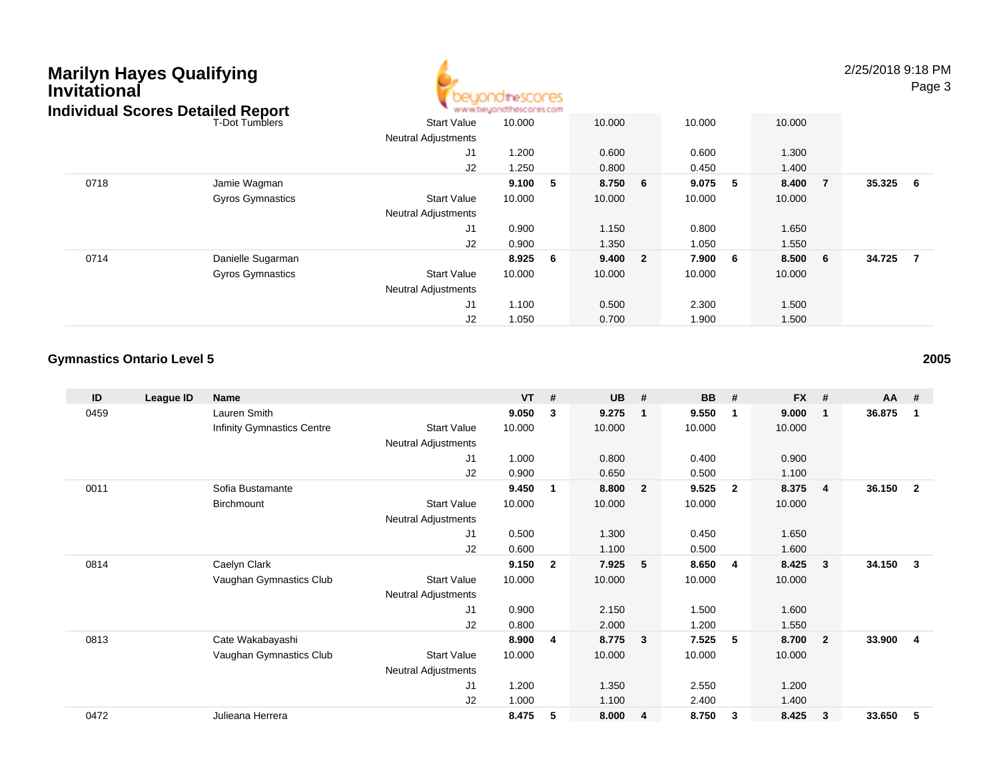| <b>Marilyn Hayes Qualifying</b><br><b>Invitational</b> | <b>Individual Scores Detailed Report</b> |                                                  |        |     |        |                |        |     |        |                | 2/25/2018 9:18 PM | Page 3         |
|--------------------------------------------------------|------------------------------------------|--------------------------------------------------|--------|-----|--------|----------------|--------|-----|--------|----------------|-------------------|----------------|
|                                                        | <b>T-Dot Tumblers</b>                    | <b>Start Value</b><br><b>Neutral Adjustments</b> | 10.000 |     | 10.000 |                | 10.000 |     | 10.000 |                |                   |                |
|                                                        |                                          | J <sub>1</sub>                                   | 1.200  |     | 0.600  |                | 0.600  |     | 1.300  |                |                   |                |
|                                                        |                                          | J2                                               | 1.250  |     | 0.800  |                | 0.450  |     | 1.400  |                |                   |                |
| 0718                                                   | Jamie Wagman                             |                                                  | 9.100  | - 5 | 8.750  | 6              | 9.075  | 5   | 8.400  | $\overline{7}$ | 35.325            | - 6            |
|                                                        | <b>Gyros Gymnastics</b>                  | <b>Start Value</b><br><b>Neutral Adjustments</b> | 10.000 |     | 10.000 |                | 10.000 |     | 10.000 |                |                   |                |
|                                                        |                                          | J <sub>1</sub>                                   | 0.900  |     | 1.150  |                | 0.800  |     | 1.650  |                |                   |                |
|                                                        |                                          | J2                                               | 0.900  |     | 1.350  |                | 1.050  |     | 1.550  |                |                   |                |
| 0714                                                   | Danielle Sugarman                        |                                                  | 8.925  | - 6 | 9.400  | $\overline{2}$ | 7.900  | - 6 | 8.500  | 6              | 34.725            | $\overline{7}$ |
|                                                        | <b>Gyros Gymnastics</b>                  | <b>Start Value</b><br><b>Neutral Adjustments</b> | 10.000 |     | 10.000 |                | 10.000 |     | 10.000 |                |                   |                |
|                                                        |                                          | J <sub>1</sub>                                   | 1.100  |     | 0.500  |                | 2.300  |     | 1.500  |                |                   |                |
|                                                        |                                          | J <sub>2</sub>                                   | 1.050  |     | 0.700  |                | 1.900  |     | 1.500  |                |                   |                |

### **Gymnastics Ontario Level 5**

| ID   | League ID | <b>Name</b>                       |                            | <b>VT</b> | #            | <b>UB</b> | #              | <b>BB</b> | #              | <b>FX</b> | #              | AA     | #              |
|------|-----------|-----------------------------------|----------------------------|-----------|--------------|-----------|----------------|-----------|----------------|-----------|----------------|--------|----------------|
| 0459 |           | Lauren Smith                      |                            | 9.050     | 3            | 9.275     | $\mathbf{1}$   | 9.550     | $\mathbf 1$    | 9.000     | -1             | 36.875 | $\overline{1}$ |
|      |           | <b>Infinity Gymnastics Centre</b> | <b>Start Value</b>         | 10.000    |              | 10.000    |                | 10.000    |                | 10.000    |                |        |                |
|      |           |                                   | <b>Neutral Adjustments</b> |           |              |           |                |           |                |           |                |        |                |
|      |           |                                   | J1                         | 1.000     |              | 0.800     |                | 0.400     |                | 0.900     |                |        |                |
|      |           |                                   | J <sub>2</sub>             | 0.900     |              | 0.650     |                | 0.500     |                | 1.100     |                |        |                |
| 0011 |           | Sofia Bustamante                  |                            | 9.450     | 1            | 8.800     | $\overline{2}$ | 9.525     | $\overline{2}$ | 8.375     | -4             | 36.150 | $\overline{2}$ |
|      |           | Birchmount                        | <b>Start Value</b>         | 10.000    |              | 10.000    |                | 10.000    |                | 10.000    |                |        |                |
|      |           |                                   | <b>Neutral Adjustments</b> |           |              |           |                |           |                |           |                |        |                |
|      |           |                                   | J <sub>1</sub>             | 0.500     |              | 1.300     |                | 0.450     |                | 1.650     |                |        |                |
|      |           |                                   | J <sub>2</sub>             | 0.600     |              | 1.100     |                | 0.500     |                | 1.600     |                |        |                |
| 0814 |           | Caelyn Clark                      |                            | 9.150     | $\mathbf{2}$ | 7.925     | 5              | 8.650     | $\overline{4}$ | 8.425     | - 3            | 34.150 | $\mathbf{3}$   |
|      |           | Vaughan Gymnastics Club           | <b>Start Value</b>         | 10.000    |              | 10.000    |                | 10.000    |                | 10.000    |                |        |                |
|      |           |                                   | <b>Neutral Adjustments</b> |           |              |           |                |           |                |           |                |        |                |
|      |           |                                   | J1                         | 0.900     |              | 2.150     |                | 1.500     |                | 1.600     |                |        |                |
|      |           |                                   | J2                         | 0.800     |              | 2.000     |                | 1.200     |                | 1.550     |                |        |                |
| 0813 |           | Cate Wakabayashi                  |                            | 8.900     | 4            | 8.775     | $\mathbf{3}$   | 7.525     | 5              | 8.700     | $\overline{2}$ | 33.900 | -4             |
|      |           | Vaughan Gymnastics Club           | <b>Start Value</b>         | 10.000    |              | 10.000    |                | 10.000    |                | 10.000    |                |        |                |
|      |           |                                   | <b>Neutral Adjustments</b> |           |              |           |                |           |                |           |                |        |                |
|      |           |                                   | J <sub>1</sub>             | 1.200     |              | 1.350     |                | 2.550     |                | 1.200     |                |        |                |
|      |           |                                   | J <sub>2</sub>             | 1.000     |              | 1.100     |                | 2.400     |                | 1.400     |                |        |                |
| 0472 |           | Julieana Herrera                  |                            | 8.475     | 5            | 8.000     | 4              | 8.750     | 3              | 8.425     | 3              | 33.650 | 5              |

**<sup>2005</sup>**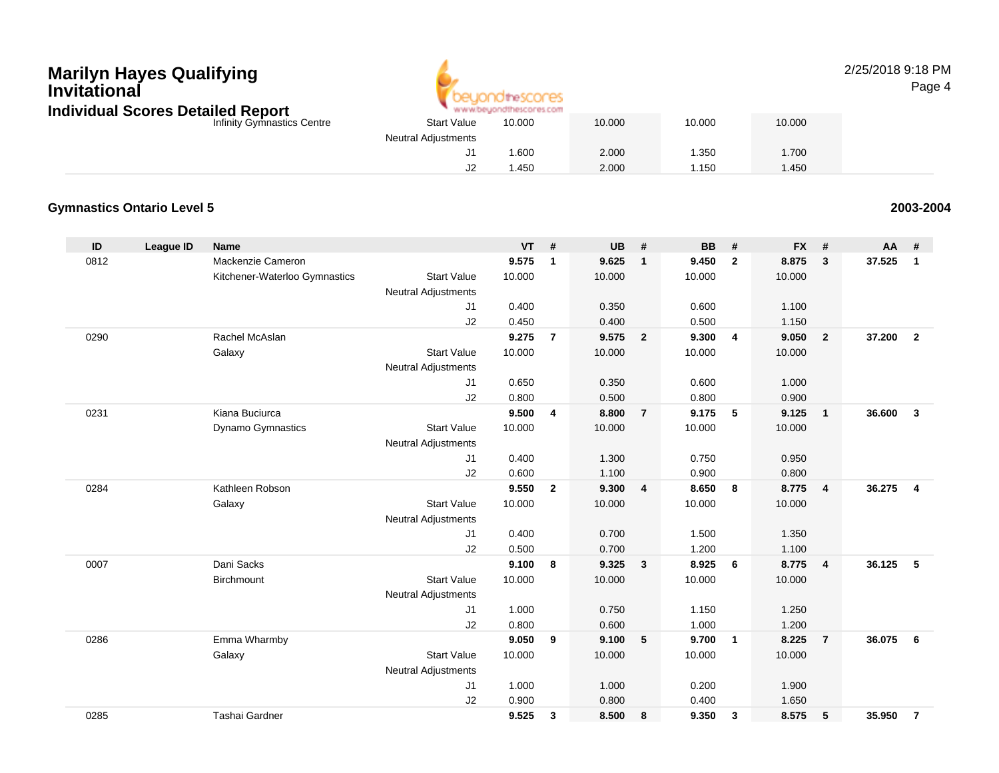# **Marilyn Hayes Qualifying Invitational Individual Scores Detailed Report**



#### 2/25/2018 9:18 PMPage 4

| Individual Scores Detailed Report |                            | www.beuondthescores.com |        |        |        |
|-----------------------------------|----------------------------|-------------------------|--------|--------|--------|
| Infinity Gymnastics Centre        | <b>Start Value</b>         | 10.000                  | 10.000 | 10.000 | 10.000 |
|                                   | <b>Neutral Adjustments</b> |                         |        |        |        |
|                                   |                            | .600                    | 2.000  | .350   | .700   |
|                                   |                            | .450                    | 2.000  | .150   | .450   |

### **Gymnastics Ontario Level 5**

**2003-2004**

| ID   | <b>League ID</b> | <b>Name</b>                   |                            | <b>VT</b> | #              | <b>UB</b> | #                       | <b>BB</b> | #              | <b>FX</b> | #              | AA     | #                       |
|------|------------------|-------------------------------|----------------------------|-----------|----------------|-----------|-------------------------|-----------|----------------|-----------|----------------|--------|-------------------------|
| 0812 |                  | Mackenzie Cameron             |                            | 9.575     | $\mathbf{1}$   | 9.625     | $\mathbf{1}$            | 9.450     | $\overline{2}$ | 8.875     | 3              | 37.525 | $\mathbf{1}$            |
|      |                  | Kitchener-Waterloo Gymnastics | <b>Start Value</b>         | 10.000    |                | 10.000    |                         | 10.000    |                | 10.000    |                |        |                         |
|      |                  |                               | <b>Neutral Adjustments</b> |           |                |           |                         |           |                |           |                |        |                         |
|      |                  |                               | J1                         | 0.400     |                | 0.350     |                         | 0.600     |                | 1.100     |                |        |                         |
|      |                  |                               | J2                         | 0.450     |                | 0.400     |                         | 0.500     |                | 1.150     |                |        |                         |
| 0290 |                  | Rachel McAslan                |                            | 9.275     | $\overline{7}$ | 9.575     | $\overline{\mathbf{2}}$ | 9.300     | $\overline{4}$ | 9.050     | $\overline{2}$ | 37.200 | $\overline{2}$          |
|      |                  | Galaxy                        | <b>Start Value</b>         | 10.000    |                | 10.000    |                         | 10.000    |                | 10.000    |                |        |                         |
|      |                  |                               | <b>Neutral Adjustments</b> |           |                |           |                         |           |                |           |                |        |                         |
|      |                  |                               | J1                         | 0.650     |                | 0.350     |                         | 0.600     |                | 1.000     |                |        |                         |
|      |                  |                               | J2                         | 0.800     |                | 0.500     |                         | 0.800     |                | 0.900     |                |        |                         |
| 0231 |                  | Kiana Buciurca                |                            | 9.500     | 4              | 8.800     | $\overline{7}$          | 9.175     | 5              | 9.125     | $\overline{1}$ | 36.600 | $\mathbf{3}$            |
|      |                  | Dynamo Gymnastics             | <b>Start Value</b>         | 10.000    |                | 10.000    |                         | 10.000    |                | 10.000    |                |        |                         |
|      |                  |                               | Neutral Adjustments        |           |                |           |                         |           |                |           |                |        |                         |
|      |                  |                               | J1                         | 0.400     |                | 1.300     |                         | 0.750     |                | 0.950     |                |        |                         |
|      |                  |                               | J2                         | 0.600     |                | 1.100     |                         | 0.900     |                | 0.800     |                |        |                         |
| 0284 |                  | Kathleen Robson               |                            | 9.550     | $\overline{2}$ | 9.300     | $\overline{4}$          | 8.650     | 8              | 8.775     | $\overline{4}$ | 36.275 | $\overline{\mathbf{4}}$ |
|      |                  | Galaxy                        | <b>Start Value</b>         | 10.000    |                | 10.000    |                         | 10.000    |                | 10.000    |                |        |                         |
|      |                  |                               | <b>Neutral Adjustments</b> |           |                |           |                         |           |                |           |                |        |                         |
|      |                  |                               | J1                         | 0.400     |                | 0.700     |                         | 1.500     |                | 1.350     |                |        |                         |
|      |                  |                               | J2                         | 0.500     |                | 0.700     |                         | 1.200     |                | 1.100     |                |        |                         |
| 0007 |                  | Dani Sacks                    |                            | 9.100     | 8              | 9.325     | $\mathbf{3}$            | 8.925     | 6              | 8.775     | $\overline{4}$ | 36.125 | 5                       |
|      |                  | Birchmount                    | <b>Start Value</b>         | 10.000    |                | 10.000    |                         | 10.000    |                | 10.000    |                |        |                         |
|      |                  |                               | <b>Neutral Adjustments</b> |           |                |           |                         |           |                |           |                |        |                         |
|      |                  |                               | J1                         | 1.000     |                | 0.750     |                         | 1.150     |                | 1.250     |                |        |                         |
|      |                  |                               | J2                         | 0.800     |                | 0.600     |                         | 1.000     |                | 1.200     |                |        |                         |
| 0286 |                  | Emma Wharmby                  |                            | 9.050     | 9              | 9.100     | 5                       | 9.700     | $\overline{1}$ | 8.225     | $\overline{7}$ | 36.075 | 6                       |
|      |                  | Galaxy                        | <b>Start Value</b>         | 10.000    |                | 10.000    |                         | 10.000    |                | 10.000    |                |        |                         |
|      |                  |                               | <b>Neutral Adjustments</b> |           |                |           |                         |           |                |           |                |        |                         |
|      |                  |                               | J1                         | 1.000     |                | 1.000     |                         | 0.200     |                | 1.900     |                |        |                         |
|      |                  |                               | J2                         | 0.900     |                | 0.800     |                         | 0.400     |                | 1.650     |                |        |                         |
| 0285 |                  | Tashai Gardner                |                            | 9.525     | 3              | 8.500     | 8                       | 9.350     | 3              | 8.575     | 5              | 35.950 | $\overline{7}$          |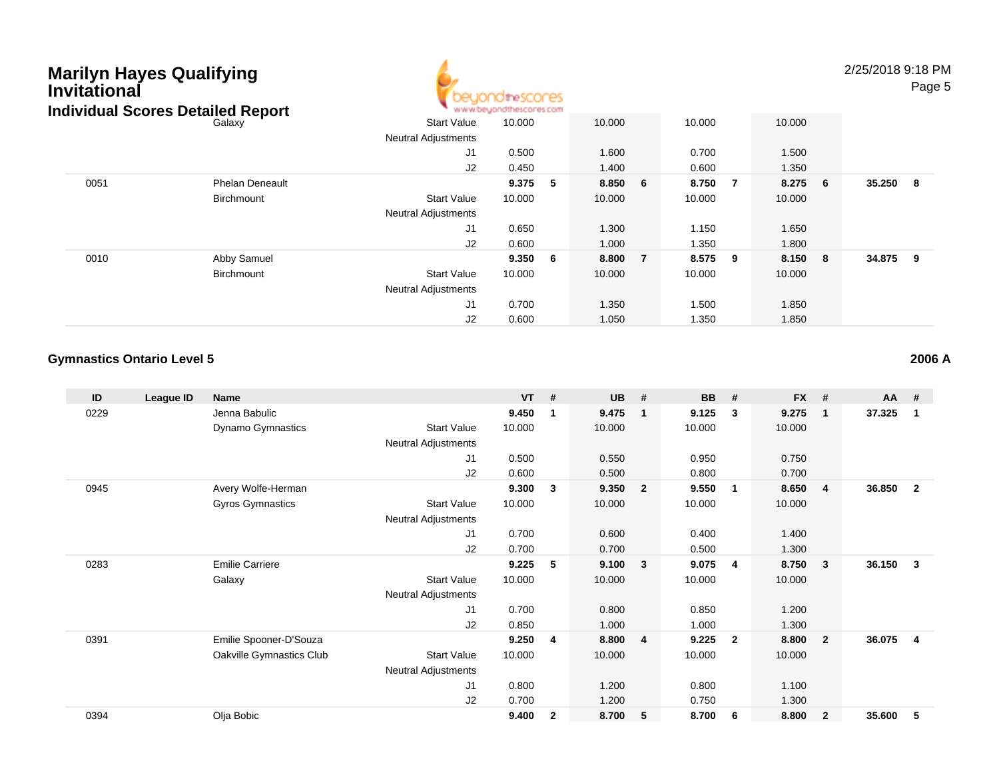| <b>Marilyn Hayes Qualifying</b><br><b>Invitational</b> | <b>Individual Scores Detailed Report</b> |                            | heSCONES |     |        |                |        |     |        |   | 2/25/2018 9:18 PM | Page 5         |
|--------------------------------------------------------|------------------------------------------|----------------------------|----------|-----|--------|----------------|--------|-----|--------|---|-------------------|----------------|
|                                                        | Galaxy                                   | <b>Start Value</b>         | 10.000   |     | 10.000 |                | 10.000 |     | 10.000 |   |                   |                |
|                                                        |                                          | <b>Neutral Adjustments</b> |          |     |        |                |        |     |        |   |                   |                |
|                                                        |                                          | J1                         | 0.500    |     | 1.600  |                | 0.700  |     | 1.500  |   |                   |                |
|                                                        |                                          | J2                         | 0.450    |     | 1.400  |                | 0.600  |     | 1.350  |   |                   |                |
| 0051                                                   | <b>Phelan Deneault</b>                   |                            | 9.375    | - 5 | 8.850  | 6              | 8.750  | -7  | 8.275  | 6 | 35.250            | 8 <sup>1</sup> |
|                                                        | <b>Birchmount</b>                        | <b>Start Value</b>         | 10.000   |     | 10.000 |                | 10.000 |     | 10.000 |   |                   |                |
|                                                        |                                          | <b>Neutral Adjustments</b> |          |     |        |                |        |     |        |   |                   |                |
|                                                        |                                          | J <sub>1</sub>             | 0.650    |     | 1.300  |                | 1.150  |     | 1.650  |   |                   |                |
|                                                        |                                          | J2                         | 0.600    |     | 1.000  |                | 1.350  |     | 1.800  |   |                   |                |
| 0010                                                   | Abby Samuel                              |                            | 9.350    | - 6 | 8.800  | $\overline{7}$ | 8.575  | - 9 | 8.150  | 8 | 34.875            | - 9            |
|                                                        | Birchmount                               | <b>Start Value</b>         | 10.000   |     | 10.000 |                | 10.000 |     | 10.000 |   |                   |                |
|                                                        |                                          | Neutral Adjustments        |          |     |        |                |        |     |        |   |                   |                |
|                                                        |                                          | J <sub>1</sub>             | 0.700    |     | 1.350  |                | 1.500  |     | 1.850  |   |                   |                |
|                                                        |                                          | J <sub>2</sub>             | 0.600    |     | 1.050  |                | 1.350  |     | 1.850  |   |                   |                |

A

#### **Gymnastics Ontario Level 52006 A**

| ID   | League ID | <b>Name</b>              |                            | <b>VT</b> | #            | <b>UB</b> | #              | <b>BB</b> | #              | <b>FX</b> | #                       | AA     | #                       |
|------|-----------|--------------------------|----------------------------|-----------|--------------|-----------|----------------|-----------|----------------|-----------|-------------------------|--------|-------------------------|
| 0229 |           | Jenna Babulic            |                            | 9.450     | 1            | 9.475     | $\mathbf 1$    | 9.125     | 3              | 9.275     | $\overline{\mathbf{1}}$ | 37.325 | $\overline{\mathbf{1}}$ |
|      |           | Dynamo Gymnastics        | <b>Start Value</b>         | 10.000    |              | 10.000    |                | 10.000    |                | 10.000    |                         |        |                         |
|      |           |                          | <b>Neutral Adjustments</b> |           |              |           |                |           |                |           |                         |        |                         |
|      |           |                          | J1                         | 0.500     |              | 0.550     |                | 0.950     |                | 0.750     |                         |        |                         |
|      |           |                          | J2                         | 0.600     |              | 0.500     |                | 0.800     |                | 0.700     |                         |        |                         |
| 0945 |           | Avery Wolfe-Herman       |                            | 9.300     | 3            | 9.350     | $\overline{2}$ | 9.550     | $\mathbf{1}$   | 8.650     | $\overline{4}$          | 36.850 | $\overline{\mathbf{2}}$ |
|      |           | <b>Gyros Gymnastics</b>  | <b>Start Value</b>         | 10.000    |              | 10.000    |                | 10.000    |                | 10.000    |                         |        |                         |
|      |           |                          | Neutral Adjustments        |           |              |           |                |           |                |           |                         |        |                         |
|      |           |                          | J <sub>1</sub>             | 0.700     |              | 0.600     |                | 0.400     |                | 1.400     |                         |        |                         |
|      |           |                          | J <sub>2</sub>             | 0.700     |              | 0.700     |                | 0.500     |                | 1.300     |                         |        |                         |
| 0283 |           | <b>Emilie Carriere</b>   |                            | 9.225     | 5            | 9.100     | $\mathbf{3}$   | 9.075     | 4              | 8.750     | $\mathbf{3}$            | 36.150 | $\mathbf{3}$            |
|      |           | Galaxy                   | <b>Start Value</b>         | 10.000    |              | 10.000    |                | 10.000    |                | 10.000    |                         |        |                         |
|      |           |                          | <b>Neutral Adjustments</b> |           |              |           |                |           |                |           |                         |        |                         |
|      |           |                          | J <sub>1</sub>             | 0.700     |              | 0.800     |                | 0.850     |                | 1.200     |                         |        |                         |
|      |           |                          | J2                         | 0.850     |              | 1.000     |                | 1.000     |                | 1.300     |                         |        |                         |
| 0391 |           | Emilie Spooner-D'Souza   |                            | 9.250     | 4            | 8.800     | 4              | 9.225     | $\overline{2}$ | 8.800     | $\overline{\mathbf{2}}$ | 36.075 | $\overline{\mathbf{4}}$ |
|      |           | Oakville Gymnastics Club | <b>Start Value</b>         | 10.000    |              | 10.000    |                | 10.000    |                | 10.000    |                         |        |                         |
|      |           |                          | <b>Neutral Adjustments</b> |           |              |           |                |           |                |           |                         |        |                         |
|      |           |                          | J1                         | 0.800     |              | 1.200     |                | 0.800     |                | 1.100     |                         |        |                         |
|      |           |                          | J <sub>2</sub>             | 0.700     |              | 1.200     |                | 0.750     |                | 1.300     |                         |        |                         |
| 0394 |           | Olja Bobic               |                            | 9.400     | $\mathbf{2}$ | 8.700     | 5              | 8.700     | 6              | 8.800     | $\overline{2}$          | 35.600 | -5                      |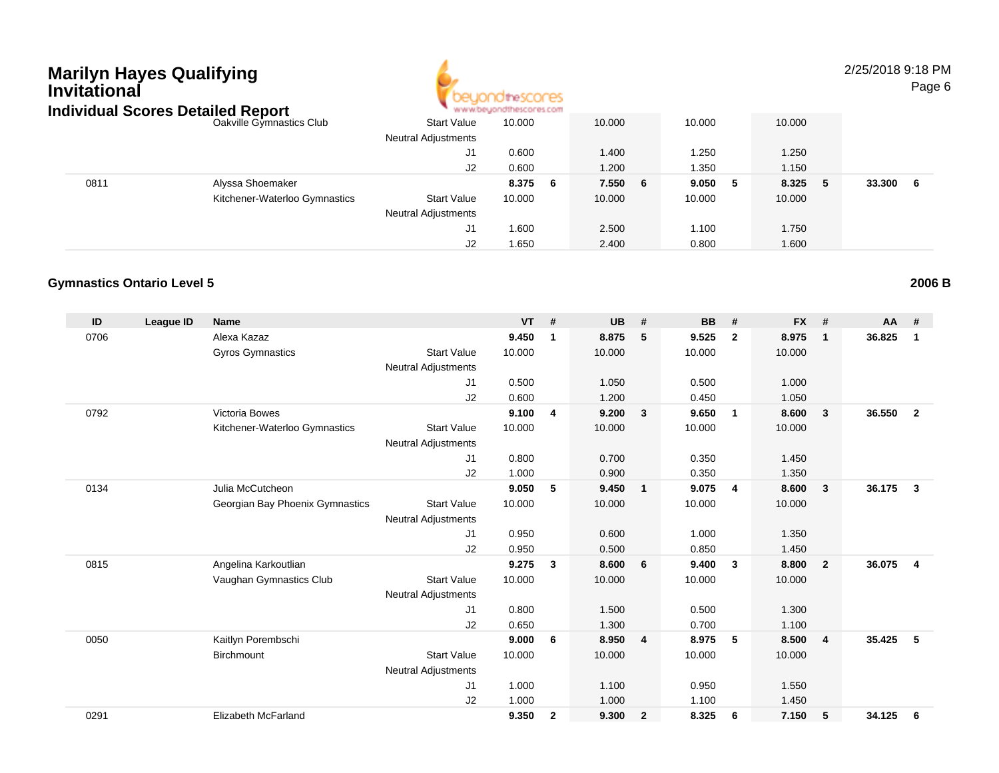## **Marilyn Hayes Qualifying InvitationalIndividual Scores Detailed Report**



2/25/2018 9:18 PMPage 6

| naiviauai Scores Detailea Report |                               |                            | . ALAN AY DRIVOLUDILIAN COLLEX COM |         |         |              |              |
|----------------------------------|-------------------------------|----------------------------|------------------------------------|---------|---------|--------------|--------------|
|                                  | Oakville Gymnastics Club      | <b>Start Value</b>         | 10.000                             | 10.000  | 10.000  | 10.000       |              |
|                                  |                               | <b>Neutral Adjustments</b> |                                    |         |         |              |              |
|                                  |                               | J1                         | 0.600                              | 1.400   | 1.250   | 1.250        |              |
|                                  |                               | J2                         | 0.600                              | 1.200   | 1.350   | 1.150        |              |
| 0811                             | Alyssa Shoemaker              |                            | 8.375<br>-6                        | 7.550 6 | 9.050 5 | 8.325<br>- 5 | 33.300<br>-6 |
|                                  | Kitchener-Waterloo Gymnastics | <b>Start Value</b>         | 10.000                             | 10.000  | 10.000  | 10.000       |              |
|                                  |                               | <b>Neutral Adjustments</b> |                                    |         |         |              |              |
|                                  |                               | J1                         | 1.600                              | 2.500   | 1.100   | 1.750        |              |
|                                  |                               | J2                         | 1.650                              | 2.400   | 0.800   | 1.600        |              |

#### **Gymnastics Ontario Level 5**

| ID   | <b>League ID</b> | <b>Name</b>                     |                            | <b>VT</b> | #              | <b>UB</b> | #                       | <b>BB</b> | #                       | <b>FX</b> | #              | AA     | #              |
|------|------------------|---------------------------------|----------------------------|-----------|----------------|-----------|-------------------------|-----------|-------------------------|-----------|----------------|--------|----------------|
| 0706 |                  | Alexa Kazaz                     |                            | 9.450     | 1              | 8.875     | 5                       | 9.525     | $\mathbf{2}$            | 8.975     | $\mathbf{1}$   | 36.825 | 1              |
|      |                  | Gyros Gymnastics                | <b>Start Value</b>         | 10.000    |                | 10.000    |                         | 10.000    |                         | 10.000    |                |        |                |
|      |                  |                                 | <b>Neutral Adjustments</b> |           |                |           |                         |           |                         |           |                |        |                |
|      |                  |                                 | J1                         | 0.500     |                | 1.050     |                         | 0.500     |                         | 1.000     |                |        |                |
|      |                  |                                 | J2                         | 0.600     |                | 1.200     |                         | 0.450     |                         | 1.050     |                |        |                |
| 0792 |                  | Victoria Bowes                  |                            | 9.100     | $\overline{4}$ | 9.200     | $\overline{\mathbf{3}}$ | 9.650     | $\overline{\mathbf{1}}$ | 8.600     | $\mathbf{3}$   | 36.550 | $\overline{2}$ |
|      |                  | Kitchener-Waterloo Gymnastics   | <b>Start Value</b>         | 10.000    |                | 10.000    |                         | 10.000    |                         | 10.000    |                |        |                |
|      |                  |                                 | <b>Neutral Adjustments</b> |           |                |           |                         |           |                         |           |                |        |                |
|      |                  |                                 | J1                         | 0.800     |                | 0.700     |                         | 0.350     |                         | 1.450     |                |        |                |
|      |                  |                                 | J2                         | 1.000     |                | 0.900     |                         | 0.350     |                         | 1.350     |                |        |                |
| 0134 |                  | Julia McCutcheon                |                            | 9.050     | 5              | 9.450     | $\overline{\mathbf{1}}$ | 9.075     | $\overline{4}$          | 8.600     | $\mathbf{3}$   | 36.175 | $\mathbf{3}$   |
|      |                  | Georgian Bay Phoenix Gymnastics | <b>Start Value</b>         | 10.000    |                | 10.000    |                         | 10.000    |                         | 10.000    |                |        |                |
|      |                  |                                 | <b>Neutral Adjustments</b> |           |                |           |                         |           |                         |           |                |        |                |
|      |                  |                                 | J <sub>1</sub>             | 0.950     |                | 0.600     |                         | 1.000     |                         | 1.350     |                |        |                |
|      |                  |                                 | J2                         | 0.950     |                | 0.500     |                         | 0.850     |                         | 1.450     |                |        |                |
| 0815 |                  | Angelina Karkoutlian            |                            | 9.275     | 3              | 8.600     | 6                       | 9.400     | $\mathbf{3}$            | 8.800     | $\overline{2}$ | 36.075 | 4              |
|      |                  | Vaughan Gymnastics Club         | <b>Start Value</b>         | 10.000    |                | 10.000    |                         | 10.000    |                         | 10.000    |                |        |                |
|      |                  |                                 | <b>Neutral Adjustments</b> |           |                |           |                         |           |                         |           |                |        |                |
|      |                  |                                 | J1                         | 0.800     |                | 1.500     |                         | 0.500     |                         | 1.300     |                |        |                |
|      |                  |                                 | J2                         | 0.650     |                | 1.300     |                         | 0.700     |                         | 1.100     |                |        |                |
| 0050 |                  | Kaitlyn Porembschi              |                            | 9.000     | 6              | 8.950     | $\overline{4}$          | 8.975     | 5                       | 8.500     | $\overline{4}$ | 35.425 | 5              |
|      |                  | <b>Birchmount</b>               | <b>Start Value</b>         | 10.000    |                | 10.000    |                         | 10.000    |                         | 10.000    |                |        |                |
|      |                  |                                 | <b>Neutral Adjustments</b> |           |                |           |                         |           |                         |           |                |        |                |
|      |                  |                                 | J <sub>1</sub>             | 1.000     |                | 1.100     |                         | 0.950     |                         | 1.550     |                |        |                |
|      |                  |                                 | J <sub>2</sub>             | 1.000     |                | 1.000     |                         | 1.100     |                         | 1.450     |                |        |                |
| 0291 |                  | Elizabeth McFarland             |                            | 9.350     | $\mathbf{2}$   | 9.300     | $\overline{2}$          | 8.325     | 6                       | 7.150     | 5              | 34.125 | 6              |

**2006 B**